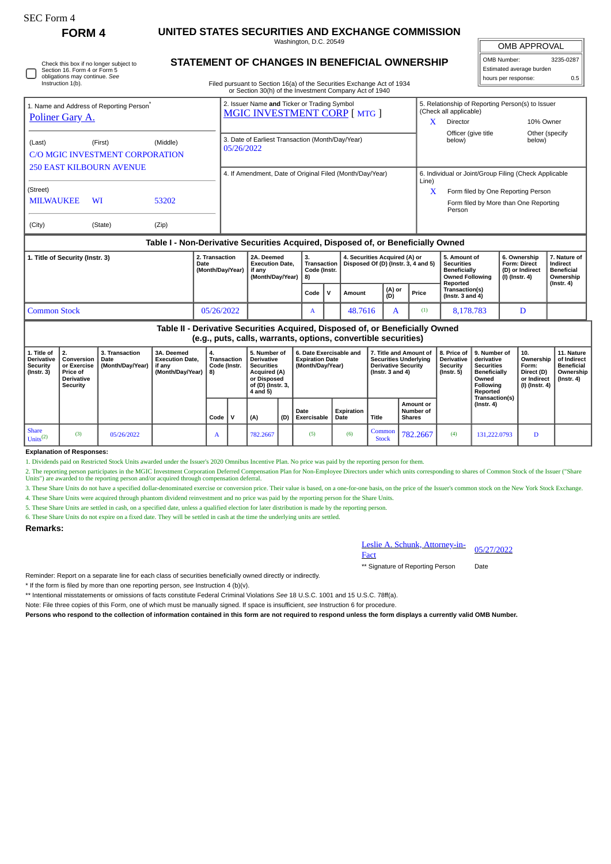| <b>SEC Form 4</b> |  |  |
|-------------------|--|--|
|-------------------|--|--|

Check this box if no longer subject to Section 16. Form 4 or Form 5 obligations may continue. *See* Instruction 1(b).

# **FORM 4 UNITED STATES SECURITIES AND EXCHANGE COMMISSION**

Washington, D.C. 20549 **STATEMENT OF CHANGES IN BENEFICIAL OWNERSHIP**

OMB APPROVAL

| OMB Number:              | 3235-0287 |
|--------------------------|-----------|
| Estimated average burden |           |
| hours per response:      | 0.5       |

Filed pursuant to Section 16(a) of the Securities Exchange Act of 1934

|                                                                                  |           |          |            | or Section 30(h) of the Investment Company Act of 1940                              |                                    |                                                                      |                                                                            |                                                                                       |                                                          |                                               |  |  |
|----------------------------------------------------------------------------------|-----------|----------|------------|-------------------------------------------------------------------------------------|------------------------------------|----------------------------------------------------------------------|----------------------------------------------------------------------------|---------------------------------------------------------------------------------------|----------------------------------------------------------|-----------------------------------------------|--|--|
| 1. Name and Address of Reporting Person <sup>®</sup>                             |           |          |            | 2. Issuer Name and Ticker or Trading Symbol<br><b>MGIC INVESTMENT CORP [MTG ]</b>   |                                    |                                                                      | 5. Relationship of Reporting Person(s) to Issuer<br>(Check all applicable) |                                                                                       |                                                          |                                               |  |  |
| Poliner Gary A.                                                                  |           |          |            |                                                                                     |                                    |                                                                      |                                                                            | Director                                                                              | 10% Owner                                                |                                               |  |  |
| (Last)<br><b>C/O MGIC INVESTMENT CORPORATION</b>                                 | (First)   | (Middle) | 05/26/2022 | 3. Date of Earliest Transaction (Month/Day/Year)                                    |                                    |                                                                      |                                                                            | Officer (give title)<br>below)                                                        | below)                                                   | Other (specify)                               |  |  |
| <b>250 EAST KILBOURN AVENUE</b>                                                  |           |          |            | 4. If Amendment, Date of Original Filed (Month/Day/Year)                            |                                    |                                                                      | 6. Individual or Joint/Group Filing (Check Applicable<br>Line)             |                                                                                       |                                                          |                                               |  |  |
| (Street)<br><b>MILWAUKEE</b>                                                     | <b>WI</b> | 53202    |            |                                                                                     |                                    |                                                                      |                                                                            | Form filed by One Reporting Person<br>Form filed by More than One Reporting<br>Person |                                                          |                                               |  |  |
| (City)                                                                           | (State)   | (Zip)    |            |                                                                                     |                                    |                                                                      |                                                                            |                                                                                       |                                                          |                                               |  |  |
| Table I - Non-Derivative Securities Acquired, Disposed of, or Beneficially Owned |           |          |            |                                                                                     |                                    |                                                                      |                                                                            |                                                                                       |                                                          |                                               |  |  |
| 1. Title of Security (Instr. 3)<br>2. Transaction<br>Date                        |           |          |            | 2A. Deemed<br><b>Execution Date.</b><br>$M$ onth $D$ ou $N$ ont $\mathbf{1}$ if any | 3.<br>Transaction  <br>Code linets | 4. Securities Acquired (A) or<br>Disposed Of (D) (Instr. 3, 4 and 5) |                                                                            | 5. Amount of<br><b>Securities</b><br><b>Donaficially</b>                              | 6. Ownership<br><b>Form: Direct</b><br>$(D)$ as indicant | 7. Nature of<br>Indirect<br><b>Donoficial</b> |  |  |

#### **(Month/Day/Year) if any (Month/Day/Year) Code (Instr. 8) Beneficially Owned Following Reported Transaction(s) (Instr. 3 and 4) (D) or Indirect (I) (Instr. 4) Beneficial Ownership (Instr. 4)**  $\begin{bmatrix} \nabla \cdot \mathbf{C} & \nabla \cdot \mathbf{C} \\ \nabla \cdot \mathbf{C} & \nabla \cdot \mathbf{C} \nabla \cdot \mathbf{C} \nabla \cdot \mathbf{C} \nabla \cdot \mathbf{C} \nabla \cdot \mathbf{C} \nabla \cdot \mathbf{C} \nabla \cdot \mathbf{C} \nabla \cdot \mathbf{C} \nabla \cdot \mathbf{C} \nabla \cdot \mathbf{C} \nabla \cdot \mathbf{C} \nabla \cdot \mathbf{C} \nabla \cdot \mathbf{C} \nabla \cdot \mathbf{C} \nabla \cdot \$ Common Stock 1988 105/26/2022 | A 48.7616 A 1 48.7616 A 38.78.783 D

# **Table II - Derivative Securities Acquired, Disposed of, or Beneficially Owned (e.g., puts, calls, warrants, options, convertible securities)**

|                                                                         | laidii hareel aanial man an mal ah manal aan mana aaaan maa            |                                              |                                                                         |                                   |  |                                                                                                                        |     |                                                                       |                    |                                                                                                               |                                                |                                                    |                                                                                                                       |                                                                          |                                                                           |
|-------------------------------------------------------------------------|------------------------------------------------------------------------|----------------------------------------------|-------------------------------------------------------------------------|-----------------------------------|--|------------------------------------------------------------------------------------------------------------------------|-----|-----------------------------------------------------------------------|--------------------|---------------------------------------------------------------------------------------------------------------|------------------------------------------------|----------------------------------------------------|-----------------------------------------------------------------------------------------------------------------------|--------------------------------------------------------------------------|---------------------------------------------------------------------------|
| 1. Title of<br><b>Derivative</b><br><b>Security</b><br>$($ Instr. 3 $)$ | Conversion<br>or Exercise<br>Price of<br><b>Derivative</b><br>Security | 3. Transaction<br>l Date<br>(Month/Day/Year) | 3A. Deemed<br><b>Execution Date.</b><br>if anv<br>(Month/Day/Year)   8) | 4.<br>Transaction<br>Code (Instr. |  | 5. Number of<br><b>Derivative</b><br><b>Securities</b><br>Acquired (A)<br>or Disposed<br>of (D) (Instr. 3,<br>4 and 5) |     | 6. Date Exercisable and<br><b>Expiration Date</b><br>(Month/Day/Year) |                    | 7. Title and Amount of<br><b>Securities Underlying</b><br><b>Derivative Security</b><br>(Instr. $3$ and $4$ ) |                                                | <b>Derivative</b><br><b>Security</b><br>(Instr. 5) | 8. Price of 19. Number of<br>derivative<br><b>Securities</b><br><b>Beneficially</b><br>Owned<br>Following<br>Reported | 10.<br>Ownership<br>Form:<br>Direct (D)<br>or Indirect<br>(I) (Instr. 4) | 11. Nature<br>of Indirect<br><b>Beneficial</b><br>Ownership<br>(Instr. 4) |
|                                                                         |                                                                        |                                              |                                                                         | Code   V                          |  | (A)                                                                                                                    | (D) | Date<br>Exercisable                                                   | Expiration<br>Date | Title                                                                                                         | <b>Amount or</b><br>Number of<br><b>Shares</b> |                                                    | Transaction(s)<br>(Instr. 4)                                                                                          |                                                                          |                                                                           |
| <b>Share</b><br>Units <sup><math>(2)</math></sup>                       | (3)                                                                    | 05/26/2022                                   |                                                                         | A                                 |  | 782.2667                                                                                                               |     | (5)                                                                   | (6)                | Common<br><b>Stock</b>                                                                                        | 782.2667                                       | (4)                                                | 131,222.0793                                                                                                          | D                                                                        |                                                                           |

## **Explanation of Responses:**

1. Dividends paid on Restricted Stock Units awarded under the Issuer's 2020 Omnibus Incentive Plan. No price was paid by the reporting person for them.

2. The reporting person participates in the MGIC Investment Corporation Deferred Compensation Plan for Non-Employee Directors under which units corresponding to shares of Common Stock of the Issuer ("Share<br>Units") are awar

3. These Share Units do not have a specified dollar-denominated exercise or conversion price. Their value is based, on a one-for-one basis, on the price of the Issuer's common stock on the New York Stock Exchange.

4. These Share Units were acquired through phantom dividend reinvestment and no price was paid by the reporting person for the Share Units.

5. These Share Units are settled in cash, on a specified date, unless a qualified election for later distribution is made by the reporting person.

6. These Share Units do not expire on a fixed date. They will be settled in cash at the time the underlying units are settled.

### **Remarks:**

Leslie A. Schunk, Attorney-in-Eesne A. Schunk, Attorney-in-<br>Fact

\*\* Signature of Reporting Person Date

Reminder: Report on a separate line for each class of securities beneficially owned directly or indirectly.

\* If the form is filed by more than one reporting person, *see* Instruction 4 (b)(v).

\*\* Intentional misstatements or omissions of facts constitute Federal Criminal Violations *See* 18 U.S.C. 1001 and 15 U.S.C. 78ff(a).

Note: File three copies of this Form, one of which must be manually signed. If space is insufficient, *see* Instruction 6 for procedure.

**Persons who respond to the collection of information contained in this form are not required to respond unless the form displays a currently valid OMB Number.**